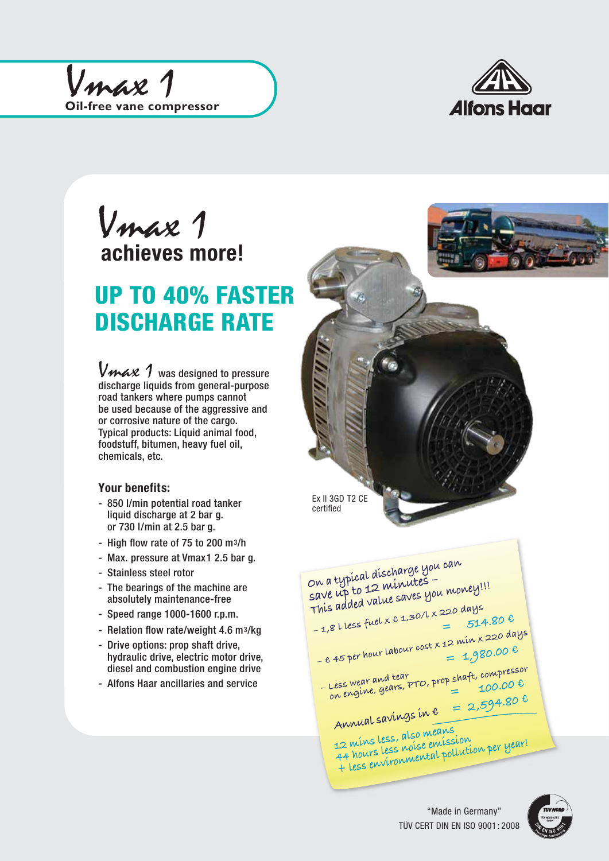



ľ achieves more! Vmax 1

## UP TO 40% FASTER DISCHARGE RATE

Vmax 1 was designed to pressure discharge liquids from general-purpose road tankers where pumps cannot be used because of the aggressive and or corrosive nature of the cargo. Typical products: Liquid animal food, foodstuff, bitumen, heavy fuel oil, chemicals, etc.

## **Your benefits:**

- 850 l/min potential road tanker liquid discharge at 2 bar g. or 730 l/min at 2.5 bar g.
- High flow rate of 75 to 200 m3/h
- Max. pressure at Vmax1 2.5 bar g.
- Stainless steel rotor
- The bearings of the machine are absolutely maintenance-free
- Speed range 1000-1600 r.p.m.
- Relation flow rate/weight 4.6 m3/kg
- Drive options: prop shaft drive, hydraulic drive, electric motor drive, diesel and combustion engine drive
- Alfons Haar ancillaries and service